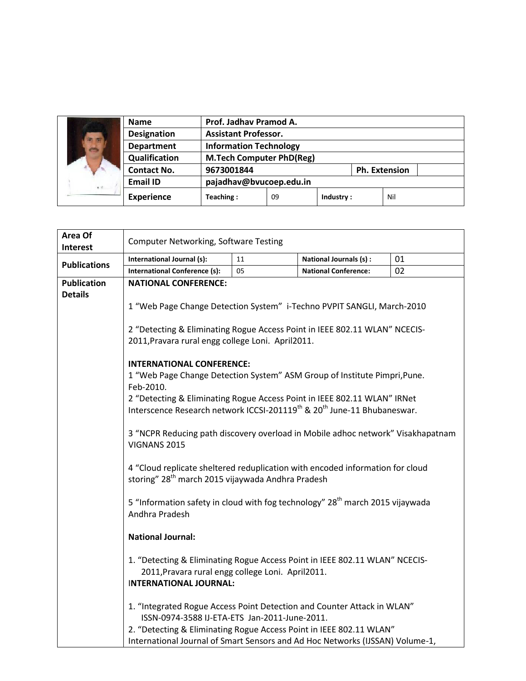| के क्र<br>4.11 | <b>Name</b>        | Prof. Jadhay Pramod A.          |    |           |                      |     |  |
|----------------|--------------------|---------------------------------|----|-----------|----------------------|-----|--|
|                | <b>Designation</b> | <b>Assistant Professor.</b>     |    |           |                      |     |  |
|                | <b>Department</b>  | <b>Information Technology</b>   |    |           |                      |     |  |
|                | Qualification      | <b>M.Tech Computer PhD(Reg)</b> |    |           |                      |     |  |
|                | <b>Contact No.</b> | 9673001844                      |    |           | <b>Ph. Extension</b> |     |  |
|                | <b>Email ID</b>    | pajadhav@bvucoep.edu.in         |    |           |                      |     |  |
|                | <b>Experience</b>  | Teaching:                       | 09 | Industry: |                      | Nil |  |

| Area Of             | <b>Computer Networking, Software Testing</b>                                                                                                   |    |                             |    |  |  |  |
|---------------------|------------------------------------------------------------------------------------------------------------------------------------------------|----|-----------------------------|----|--|--|--|
| <b>Interest</b>     |                                                                                                                                                |    |                             |    |  |  |  |
| <b>Publications</b> | International Journal (s):                                                                                                                     | 11 | National Journals (s) :     | 01 |  |  |  |
|                     | <b>International Conference (s):</b>                                                                                                           | 05 | <b>National Conference:</b> | 02 |  |  |  |
| <b>Publication</b>  | <b>NATIONAL CONFERENCE:</b>                                                                                                                    |    |                             |    |  |  |  |
| <b>Details</b>      |                                                                                                                                                |    |                             |    |  |  |  |
|                     | 1 "Web Page Change Detection System" i-Techno PVPIT SANGLI, March-2010                                                                         |    |                             |    |  |  |  |
|                     |                                                                                                                                                |    |                             |    |  |  |  |
|                     | 2 "Detecting & Eliminating Rogue Access Point in IEEE 802.11 WLAN" NCECIS-                                                                     |    |                             |    |  |  |  |
|                     | 2011, Pravara rural engg college Loni. April 2011.                                                                                             |    |                             |    |  |  |  |
|                     | <b>INTERNATIONAL CONFERENCE:</b>                                                                                                               |    |                             |    |  |  |  |
|                     | 1 "Web Page Change Detection System" ASM Group of Institute Pimpri, Pune.                                                                      |    |                             |    |  |  |  |
|                     | Feb-2010.                                                                                                                                      |    |                             |    |  |  |  |
|                     | 2 "Detecting & Eliminating Rogue Access Point in IEEE 802.11 WLAN" IRNet                                                                       |    |                             |    |  |  |  |
|                     | Interscence Research network ICCSI-201119 <sup>th</sup> & 20 <sup>th</sup> June-11 Bhubaneswar.                                                |    |                             |    |  |  |  |
|                     |                                                                                                                                                |    |                             |    |  |  |  |
|                     | 3 "NCPR Reducing path discovery overload in Mobile adhoc network" Visakhapatnam                                                                |    |                             |    |  |  |  |
|                     | VIGNANS 2015                                                                                                                                   |    |                             |    |  |  |  |
|                     |                                                                                                                                                |    |                             |    |  |  |  |
|                     | 4 "Cloud replicate sheltered reduplication with encoded information for cloud<br>storing" 28 <sup>th</sup> march 2015 vijaywada Andhra Pradesh |    |                             |    |  |  |  |
|                     |                                                                                                                                                |    |                             |    |  |  |  |
|                     | 5 "Information safety in cloud with fog technology" 28 <sup>th</sup> march 2015 vijaywada                                                      |    |                             |    |  |  |  |
|                     | Andhra Pradesh                                                                                                                                 |    |                             |    |  |  |  |
|                     |                                                                                                                                                |    |                             |    |  |  |  |
|                     | <b>National Journal:</b>                                                                                                                       |    |                             |    |  |  |  |
|                     |                                                                                                                                                |    |                             |    |  |  |  |
|                     | 1. "Detecting & Eliminating Rogue Access Point in IEEE 802.11 WLAN" NCECIS-                                                                    |    |                             |    |  |  |  |
|                     | 2011, Pravara rural engg college Loni. April2011.                                                                                              |    |                             |    |  |  |  |
|                     | <b>INTERNATIONAL JOURNAL:</b>                                                                                                                  |    |                             |    |  |  |  |
|                     | 1. "Integrated Rogue Access Point Detection and Counter Attack in WLAN"                                                                        |    |                             |    |  |  |  |
|                     | ISSN-0974-3588 IJ-ETA-ETS Jan-2011-June-2011.                                                                                                  |    |                             |    |  |  |  |
|                     | 2. "Detecting & Eliminating Rogue Access Point in IEEE 802.11 WLAN"                                                                            |    |                             |    |  |  |  |
|                     | International Journal of Smart Sensors and Ad Hoc Networks (IJSSAN) Volume-1,                                                                  |    |                             |    |  |  |  |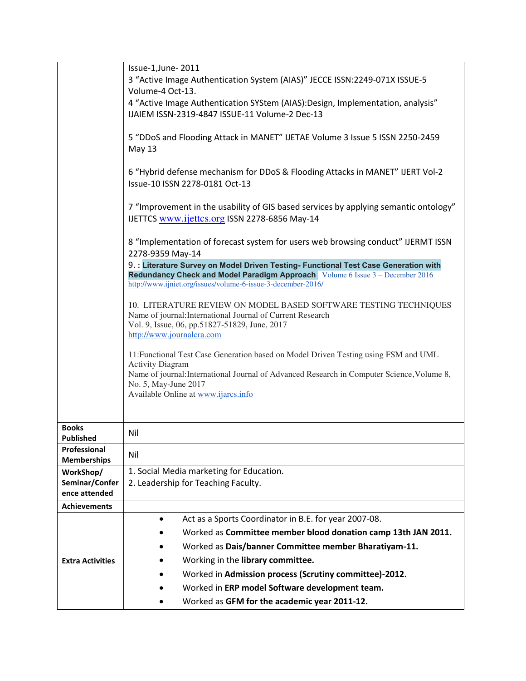| Issue-1, June-2011                                                                                                                                                                                                              |  |  |                                                                                                      |                                                                                                                                               |  |  |
|---------------------------------------------------------------------------------------------------------------------------------------------------------------------------------------------------------------------------------|--|--|------------------------------------------------------------------------------------------------------|-----------------------------------------------------------------------------------------------------------------------------------------------|--|--|
| 3 "Active Image Authentication System (AIAS)" JECCE ISSN:2249-071X ISSUE-5                                                                                                                                                      |  |  |                                                                                                      |                                                                                                                                               |  |  |
| Volume-4 Oct-13.                                                                                                                                                                                                                |  |  |                                                                                                      |                                                                                                                                               |  |  |
| 4 "Active Image Authentication SYStem (AIAS): Design, Implementation, analysis"                                                                                                                                                 |  |  |                                                                                                      |                                                                                                                                               |  |  |
| IJAIEM ISSN-2319-4847 ISSUE-11 Volume-2 Dec-13                                                                                                                                                                                  |  |  |                                                                                                      |                                                                                                                                               |  |  |
| 5 "DDoS and Flooding Attack in MANET" IJETAE Volume 3 Issue 5 ISSN 2250-2459                                                                                                                                                    |  |  |                                                                                                      |                                                                                                                                               |  |  |
| May 13                                                                                                                                                                                                                          |  |  |                                                                                                      |                                                                                                                                               |  |  |
| 6 "Hybrid defense mechanism for DDoS & Flooding Attacks in MANET" IJERT Vol-2                                                                                                                                                   |  |  |                                                                                                      |                                                                                                                                               |  |  |
| Issue-10 ISSN 2278-0181 Oct-13                                                                                                                                                                                                  |  |  |                                                                                                      |                                                                                                                                               |  |  |
|                                                                                                                                                                                                                                 |  |  |                                                                                                      |                                                                                                                                               |  |  |
| 7 "Improvement in the usability of GIS based services by applying semantic ontology"<br>IJETTCS www.ijettcs.org ISSN 2278-6856 May-14                                                                                           |  |  |                                                                                                      |                                                                                                                                               |  |  |
|                                                                                                                                                                                                                                 |  |  | 8 "Implementation of forecast system for users web browsing conduct" IJERMT ISSN<br>2278-9359 May-14 |                                                                                                                                               |  |  |
| 9. : Literature Survey on Model Driven Testing- Functional Test Case Generation with                                                                                                                                            |  |  |                                                                                                      |                                                                                                                                               |  |  |
| <b>Redundancy Check and Model Paradigm Approach</b> Volume 6 Issue 3 - December 2016<br>http://www.ijniet.org/issues/volume-6-issue-3-december-2016/                                                                            |  |  |                                                                                                      |                                                                                                                                               |  |  |
|                                                                                                                                                                                                                                 |  |  |                                                                                                      | 10. LITERATURE REVIEW ON MODEL BASED SOFTWARE TESTING TECHNIQUES                                                                              |  |  |
| Name of journal: International Journal of Current Research<br>Vol. 9, Issue, 06, pp.51827-51829, June, 2017<br>http://www.journalcra.com<br>11: Functional Test Case Generation based on Model Driven Testing using FSM and UML |  |  |                                                                                                      |                                                                                                                                               |  |  |
|                                                                                                                                                                                                                                 |  |  |                                                                                                      | <b>Activity Diagram</b><br>Name of journal: International Journal of Advanced Research in Computer Science, Volume 8,<br>No. 5, May-June 2017 |  |  |
|                                                                                                                                                                                                                                 |  |  |                                                                                                      |                                                                                                                                               |  |  |
|                                                                                                                                                                                                                                 |  |  |                                                                                                      |                                                                                                                                               |  |  |
|                                                                                                                                                                                                                                 |  |  |                                                                                                      |                                                                                                                                               |  |  |
| Nil                                                                                                                                                                                                                             |  |  |                                                                                                      |                                                                                                                                               |  |  |
| Nil                                                                                                                                                                                                                             |  |  |                                                                                                      |                                                                                                                                               |  |  |
| 1. Social Media marketing for Education.                                                                                                                                                                                        |  |  |                                                                                                      |                                                                                                                                               |  |  |
| 2. Leadership for Teaching Faculty.                                                                                                                                                                                             |  |  |                                                                                                      |                                                                                                                                               |  |  |
|                                                                                                                                                                                                                                 |  |  |                                                                                                      |                                                                                                                                               |  |  |
|                                                                                                                                                                                                                                 |  |  |                                                                                                      |                                                                                                                                               |  |  |
| Act as a Sports Coordinator in B.E. for year 2007-08.<br>$\bullet$                                                                                                                                                              |  |  |                                                                                                      |                                                                                                                                               |  |  |
| Worked as Committee member blood donation camp 13th JAN 2011.                                                                                                                                                                   |  |  |                                                                                                      |                                                                                                                                               |  |  |
| Worked as Dais/banner Committee member Bharatiyam-11.                                                                                                                                                                           |  |  |                                                                                                      |                                                                                                                                               |  |  |
| Working in the library committee.                                                                                                                                                                                               |  |  |                                                                                                      |                                                                                                                                               |  |  |
| Worked in Admission process (Scrutiny committee)-2012.                                                                                                                                                                          |  |  |                                                                                                      |                                                                                                                                               |  |  |
| Worked in ERP model Software development team.                                                                                                                                                                                  |  |  |                                                                                                      |                                                                                                                                               |  |  |
| Worked as GFM for the academic year 2011-12.                                                                                                                                                                                    |  |  |                                                                                                      |                                                                                                                                               |  |  |
|                                                                                                                                                                                                                                 |  |  |                                                                                                      |                                                                                                                                               |  |  |